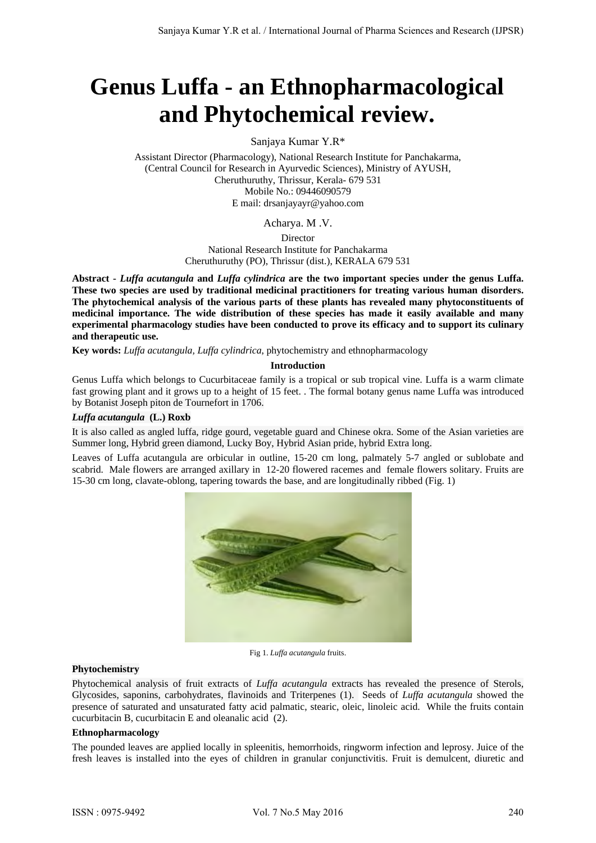# **Genus Luffa - an Ethnopharmacological and Phytochemical review.**

Sanjaya Kumar Y.R\*

Assistant Director (Pharmacology), National Research Institute for Panchakarma, (Central Council for Research in Ayurvedic Sciences), Ministry of AYUSH, Cheruthuruthy, Thrissur, Kerala- 679 531 Mobile No.: 09446090579 E mail: drsanjayayr@yahoo.com

Acharya. M .V.

Director

National Research Institute for Panchakarma Cheruthuruthy (PO), Thrissur (dist.), KERALA 679 531

**Abstract -** *Luffa acutangula* **and** *Luffa cylindrica* **are the two important species under the genus Luffa. These two species are used by traditional medicinal practitioners for treating various human disorders. The phytochemical analysis of the various parts of these plants has revealed many phytoconstituents of medicinal importance. The wide distribution of these species has made it easily available and many experimental pharmacology studies have been conducted to prove its efficacy and to support its culinary and therapeutic use.** 

**Key words:** *Luffa acutangula, Luffa cylindrica*, phytochemistry and ethnopharmacology

## **Introduction**

Genus Luffa which belongs to Cucurbitaceae family is a tropical or sub tropical vine. Luffa is a warm climate fast growing plant and it grows up to a height of 15 feet. . The formal botany genus name Luffa was introduced by Botanist Joseph piton de Tournefort in 1706.

## *Luffa acutangula* **(L.) Roxb**

It is also called as angled luffa, ridge gourd, vegetable guard and Chinese okra. Some of the Asian varieties are Summer long, Hybrid green diamond, Lucky Boy, Hybrid Asian pride, hybrid Extra long.

Leaves of Luffa acutangula are orbicular in outline, 15-20 cm long, palmately 5-7 angled or sublobate and scabrid. Male flowers are arranged axillary in 12-20 flowered racemes and female flowers solitary. Fruits are 15-30 cm long, clavate-oblong, tapering towards the base, and are longitudinally ribbed (Fig. 1)



Fig 1. *Luffa acutangula* fruits.

## **Phytochemistry**

Phytochemical analysis of fruit extracts of *Luffa acutangula* extracts has revealed the presence of Sterols, Glycosides, saponins, carbohydrates, flavinoids and Triterpenes (1). Seeds of *Luffa acutangula* showed the presence of saturated and unsaturated fatty acid palmatic, stearic, oleic, linoleic acid. While the fruits contain cucurbitacin B, cucurbitacin E and oleanalic acid (2).

## **Ethnopharmacology**

The pounded leaves are applied locally in spleenitis, hemorrhoids, ringworm infection and leprosy. Juice of the fresh leaves is installed into the eyes of children in granular conjunctivitis. Fruit is demulcent, diuretic and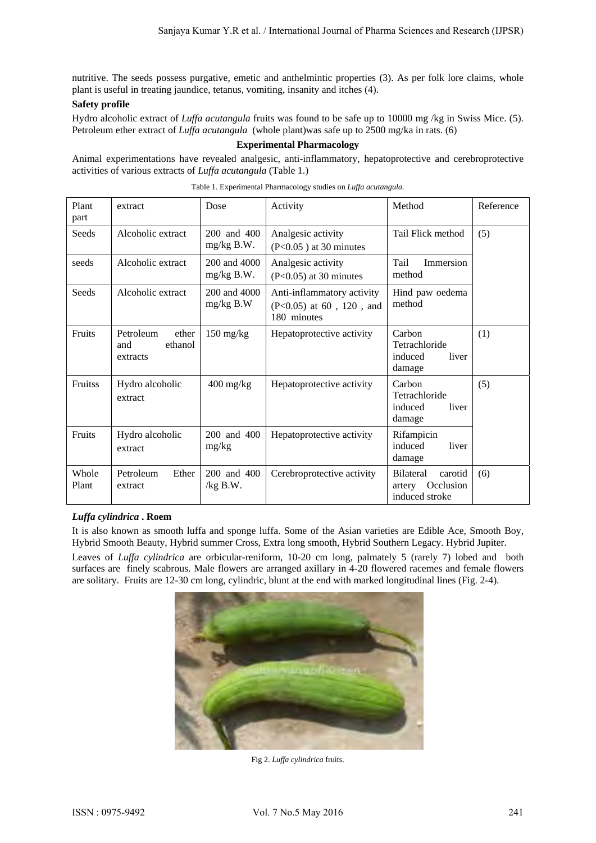nutritive. The seeds possess purgative, emetic and anthelmintic properties (3). As per folk lore claims, whole plant is useful in treating jaundice, tetanus, vomiting, insanity and itches (4).

## **Safety profile**

Hydro alcoholic extract of *Luffa acutangula* fruits was found to be safe up to 10000 mg /kg in Swiss Mice. (5). Petroleum ether extract of *Luffa acutangula* (whole plant)was safe up to 2500 mg/ka in rats. (6)

## **Experimental Pharmacology**

Animal experimentations have revealed analgesic, anti-inflammatory, hepatoprotective and cerebroprotective activities of various extracts of *Luffa acutangula* (Table 1.)

| Plant<br>part  | extract                                          | Dose                              | Activity                                                              | Method                                                               | Reference |
|----------------|--------------------------------------------------|-----------------------------------|-----------------------------------------------------------------------|----------------------------------------------------------------------|-----------|
| Seeds          | Alcoholic extract                                | 200 and 400<br>$mg/kg$ B.W.       | Analgesic activity<br>$(P<0.05)$ at 30 minutes                        | Tail Flick method                                                    | (5)       |
| seeds          | Alcoholic extract                                | 200 and 4000<br>$mg/kg$ B.W.      | Analgesic activity<br>$(P<0.05)$ at 30 minutes                        | Tail<br>Immersion<br>method                                          |           |
| Seeds          | Alcoholic extract                                | 200 and 4000<br>$mg/kg$ B.W       | Anti-inflammatory activity<br>(P<0.05) at 60, 120, and<br>180 minutes | Hind paw oedema<br>method                                            |           |
| Fruits         | Petroleum<br>ether<br>ethanol<br>and<br>extracts | $150 \frac{\text{mg}}{\text{kg}}$ | Hepatoprotective activity                                             | Carbon<br>Tetrachloride<br>induced<br>liver<br>damage                | (1)       |
| Fruitss        | Hydro alcoholic<br>extract                       | $400$ mg/kg                       | Hepatoprotective activity                                             | Carbon<br>Tetrachloride<br>induced<br>liver<br>damage                | (5)       |
| Fruits         | Hydro alcoholic<br>extract                       | 200 and 400<br>mg/kg              | Hepatoprotective activity                                             | Rifampicin<br>induced<br>liver<br>damage                             |           |
| Whole<br>Plant | Petroleum<br>Ether<br>extract                    | 200 and 400<br>$/kg$ B.W.         | Cerebroprotective activity                                            | <b>Bilateral</b><br>carotid<br>Occlusion<br>artery<br>induced stroke | (6)       |

Table 1. Experimental Pharmacology studies on *Luffa acutangula*.

## *Luffa cylindrica* **. Roem**

It is also known as smooth luffa and sponge luffa. Some of the Asian varieties are Edible Ace, Smooth Boy, Hybrid Smooth Beauty, Hybrid summer Cross, Extra long smooth, Hybrid Southern Legacy. Hybrid Jupiter.

Leaves of *Luffa cylindrica* are orbicular-reniform, 10-20 cm long, palmately 5 (rarely 7) lobed and both surfaces are finely scabrous. Male flowers are arranged axillary in 4-20 flowered racemes and female flowers are solitary. Fruits are 12-30 cm long, cylindric, blunt at the end with marked longitudinal lines (Fig. 2-4).



Fig 2. *Luffa cylindrica* fruits.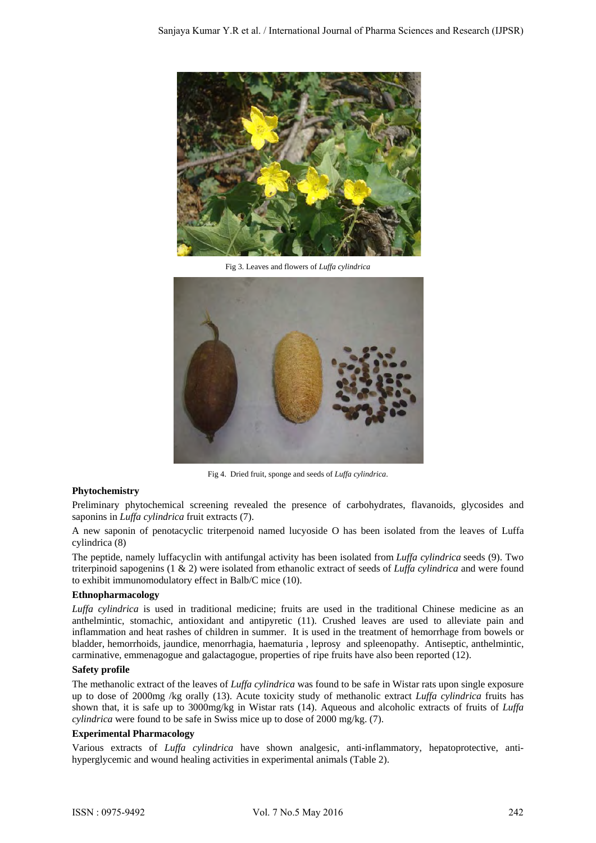

Fig 3. Leaves and flowers of *Luffa cylindrica*



Fig 4. Dried fruit, sponge and seeds of *Luffa cylindrica*.

## **Phytochemistry**

Preliminary phytochemical screening revealed the presence of carbohydrates, flavanoids, glycosides and saponins in *Luffa cylindrica* fruit extracts (7).

A new saponin of penotacyclic triterpenoid named lucyoside O has been isolated from the leaves of Luffa cylindrica (8)

The peptide, namely luffacyclin with antifungal activity has been isolated from *Luffa cylindrica* seeds (9). Two triterpinoid sapogenins (1 & 2) were isolated from ethanolic extract of seeds of *Luffa cylindrica* and were found to exhibit immunomodulatory effect in Balb/C mice (10).

#### **Ethnopharmacology**

*Luffa cylindrica* is used in traditional medicine; fruits are used in the traditional Chinese medicine as an anthelmintic, stomachic, antioxidant and antipyretic (11). Crushed leaves are used to alleviate pain and inflammation and heat rashes of children in summer. It is used in the treatment of hemorrhage from bowels or bladder, hemorrhoids, jaundice, menorrhagia, haematuria , leprosy and spleenopathy. Antiseptic, anthelmintic, carminative, emmenagogue and galactagogue, properties of ripe fruits have also been reported (12).

#### **Safety profile**

The methanolic extract of the leaves of *Luffa cylindrica* was found to be safe in Wistar rats upon single exposure up to dose of 2000mg /kg orally (13). Acute toxicity study of methanolic extract *Luffa cylindrica* fruits has shown that, it is safe up to 3000mg/kg in Wistar rats (14). Aqueous and alcoholic extracts of fruits of *Luffa cylindrica* were found to be safe in Swiss mice up to dose of 2000 mg/kg. (7).

#### **Experimental Pharmacology**

Various extracts of *Luffa cylindrica* have shown analgesic, anti-inflammatory, hepatoprotective, antihyperglycemic and wound healing activities in experimental animals (Table 2).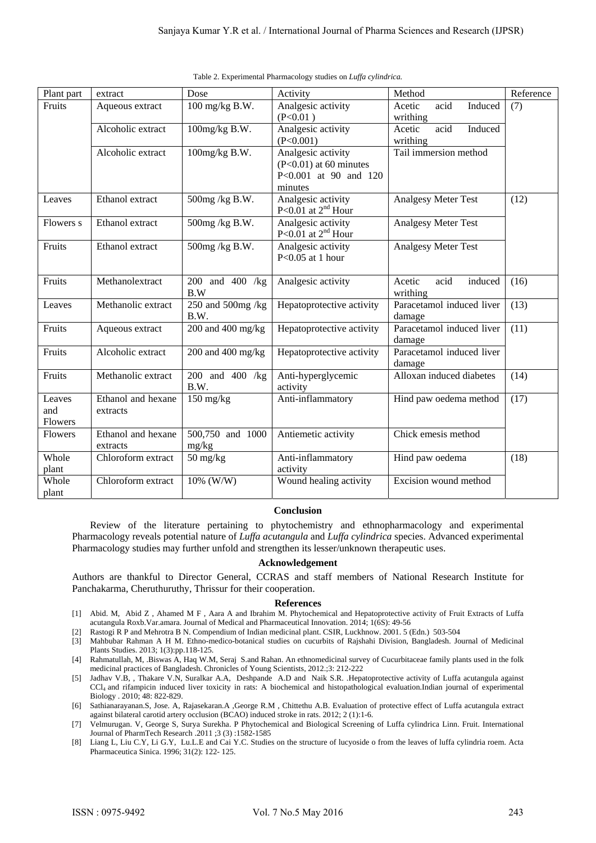| Plant part                      | extract                        | Dose                             | Activity                                                                           | Method                                | Reference |
|---------------------------------|--------------------------------|----------------------------------|------------------------------------------------------------------------------------|---------------------------------------|-----------|
| Fruits                          | Aqueous extract                | 100 mg/kg B.W.                   | Analgesic activity<br>(P<0.01)                                                     | acid<br>Induced<br>Acetic<br>writhing | (7)       |
|                                 | Alcoholic extract              | 100mg/kg B.W.                    | Analgesic activity<br>(P<0.001)                                                    | acid<br>Induced<br>Acetic<br>writhing |           |
|                                 | Alcoholic extract              | 100mg/kg B.W.                    | Analgesic activity<br>$(P<0.01)$ at 60 minutes<br>P<0.001 at 90 and 120<br>minutes | Tail immersion method                 |           |
| Leaves                          | Ethanol extract                | 500mg/kg B.W.                    | Analgesic activity<br>P<0.01 at $2nd$ Hour                                         | <b>Analgesy Meter Test</b>            | (12)      |
| Flowers s                       | Ethanol extract                | 500mg/kg B.W.                    | Analgesic activity<br>P<0.01 at $2^{nd}$ Hour                                      | <b>Analgesy Meter Test</b>            |           |
| Fruits                          | Ethanol extract                | 500mg/kg B.W.                    | Analgesic activity<br>P< $0.05$ at 1 hour                                          | <b>Analgesy Meter Test</b>            |           |
| Fruits                          | Methanolextract                | 200 and 400 /kg<br>B.W           | Analgesic activity                                                                 | acid<br>induced<br>Acetic<br>writhing | (16)      |
| Leaves                          | Methanolic extract             | 250 and 500mg /kg<br>B.W.        | Hepatoprotective activity                                                          | Paracetamol induced liver<br>damage   | (13)      |
| Fruits                          | Aqueous extract                | 200 and 400 mg/kg                | Hepatoprotective activity                                                          | Paracetamol induced liver<br>damage   | (11)      |
| Fruits                          | Alcoholic extract              | 200 and 400 mg/kg                | Hepatoprotective activity                                                          | Paracetamol induced liver<br>damage   |           |
| Fruits                          | Methanolic extract             | 200 and 400 /kg<br>B.W.          | Anti-hyperglycemic<br>activity                                                     | Alloxan induced diabetes              | (14)      |
| Leaves<br>and<br><b>Flowers</b> | Ethanol and hexane<br>extracts | $150$ mg/kg                      | Anti-inflammatory                                                                  | Hind paw oedema method                | (17)      |
| Flowers                         | Ethanol and hexane<br>extracts | 500,750 and 1000<br>mg/kg        | Antiemetic activity                                                                | Chick emesis method                   |           |
| Whole<br>plant                  | Chloroform extract             | $50 \frac{\text{mg}}{\text{kg}}$ | Anti-inflammatory<br>activity                                                      | Hind paw oedema                       | (18)      |
| Whole<br>plant                  | Chloroform extract             | 10% (W/W)                        | Wound healing activity                                                             | Excision wound method                 |           |

Table 2. Experimental Pharmacology studies on *Luffa cylindrica.*

#### **Conclusion**

Review of the literature pertaining to phytochemistry and ethnopharmacology and experimental Pharmacology reveals potential nature of *Luffa acutangula* and *Luffa cylindrica* species. Advanced experimental Pharmacology studies may further unfold and strengthen its lesser/unknown therapeutic uses.

#### **Acknowledgement**

Authors are thankful to Director General, CCRAS and staff members of National Research Institute for Panchakarma, Cheruthuruthy, Thrissur for their cooperation.

#### **References**

- [1] Abid. M, Abid Z , Ahamed M F , Aara A and Ibrahim M. Phytochemical and Hepatoprotective activity of Fruit Extracts of Luffa acutangula Roxb.Var.amara. Journal of Medical and Pharmaceutical Innovation. 2014; 1(6S): 49-56
- [2] Rastogi R P and Mehrotra B N. Compendium of Indian medicinal plant. CSIR, Luckhnow. 2001. 5 (Edn.) 503-504
- [3] Mahbubar Rahman A H M. Ethno-medico-botanical studies on cucurbits of Rajshahi Division, Bangladesh. Journal of Medicinal Plants Studies. 2013; 1(3):pp.118-125.
- [4] Rahmatullah, M, .Biswas A, Haq W.M, Seraj S.and Rahan. An ethnomedicinal survey of Cucurbitaceae family plants used in the folk medicinal practices of Bangladesh. Chronicles of Young Scientists, 2012.;3: 212-222
- [5] Jadhav V.B, , Thakare V.N, Suralkar A.A, Deshpande A.D and Naik S.R. .Hepatoprotective activity of Luffa acutangula against CCl4 and rifampicin induced liver toxicity in rats: A biochemical and histopathological evaluation.Indian journal of experimental Biology . 2010; 48: 822-829.
- [6] Sathianarayanan.S, Jose. A, Rajasekaran.A ,George R.M , Chittethu A.B. Evaluation of protective effect of Luffa acutangula extract against bilateral carotid artery occlusion (BCAO) induced stroke in rats. 2012; 2 (1):1-6.
- [7] Velmurugan. V, George S, Surya Surekha. P Phytochemical and Biological Screening of Luffa cylindrica Linn. Fruit. International Journal of PharmTech Research .2011 ;3 (3) :1582-1585
- [8] Liang L, Liu C.Y, Li G.Y, Lu.L.E and Cai Y.C. Studies on the structure of lucyoside o from the leaves of luffa cylindria roem. Acta Pharmaceutica Sinica. 1996; 31(2): 122- 125.